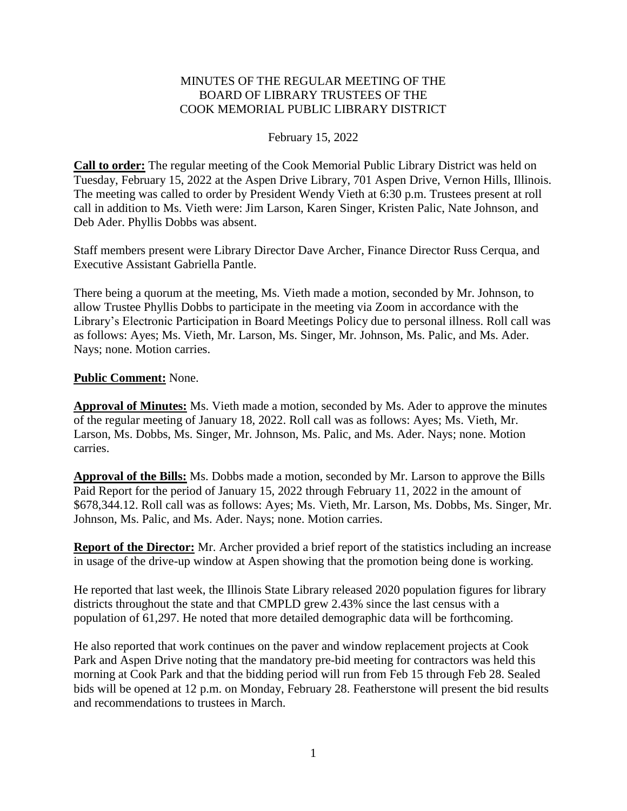## MINUTES OF THE REGULAR MEETING OF THE BOARD OF LIBRARY TRUSTEES OF THE COOK MEMORIAL PUBLIC LIBRARY DISTRICT

### February 15, 2022

**Call to order:** The regular meeting of the Cook Memorial Public Library District was held on Tuesday, February 15, 2022 at the Aspen Drive Library, 701 Aspen Drive, Vernon Hills, Illinois. The meeting was called to order by President Wendy Vieth at 6:30 p.m. Trustees present at roll call in addition to Ms. Vieth were: Jim Larson, Karen Singer, Kristen Palic, Nate Johnson, and Deb Ader. Phyllis Dobbs was absent.

Staff members present were Library Director Dave Archer, Finance Director Russ Cerqua, and Executive Assistant Gabriella Pantle.

There being a quorum at the meeting, Ms. Vieth made a motion, seconded by Mr. Johnson, to allow Trustee Phyllis Dobbs to participate in the meeting via Zoom in accordance with the Library's Electronic Participation in Board Meetings Policy due to personal illness. Roll call was as follows: Ayes; Ms. Vieth, Mr. Larson, Ms. Singer, Mr. Johnson, Ms. Palic, and Ms. Ader. Nays; none. Motion carries.

#### **Public Comment:** None.

**Approval of Minutes:** Ms. Vieth made a motion, seconded by Ms. Ader to approve the minutes of the regular meeting of January 18, 2022. Roll call was as follows: Ayes; Ms. Vieth, Mr. Larson, Ms. Dobbs, Ms. Singer, Mr. Johnson, Ms. Palic, and Ms. Ader. Nays; none. Motion carries.

**Approval of the Bills:** Ms. Dobbs made a motion, seconded by Mr. Larson to approve the Bills Paid Report for the period of January 15, 2022 through February 11, 2022 in the amount of \$678,344.12. Roll call was as follows: Ayes; Ms. Vieth, Mr. Larson, Ms. Dobbs, Ms. Singer, Mr. Johnson, Ms. Palic, and Ms. Ader. Nays; none. Motion carries.

**Report of the Director:** Mr. Archer provided a brief report of the statistics including an increase in usage of the drive-up window at Aspen showing that the promotion being done is working.

He reported that last week, the Illinois State Library released 2020 population figures for library districts throughout the state and that CMPLD grew 2.43% since the last census with a population of 61,297. He noted that more detailed demographic data will be forthcoming.

He also reported that work continues on the paver and window replacement projects at Cook Park and Aspen Drive noting that the mandatory pre-bid meeting for contractors was held this morning at Cook Park and that the bidding period will run from Feb 15 through Feb 28. Sealed bids will be opened at 12 p.m. on Monday, February 28. Featherstone will present the bid results and recommendations to trustees in March.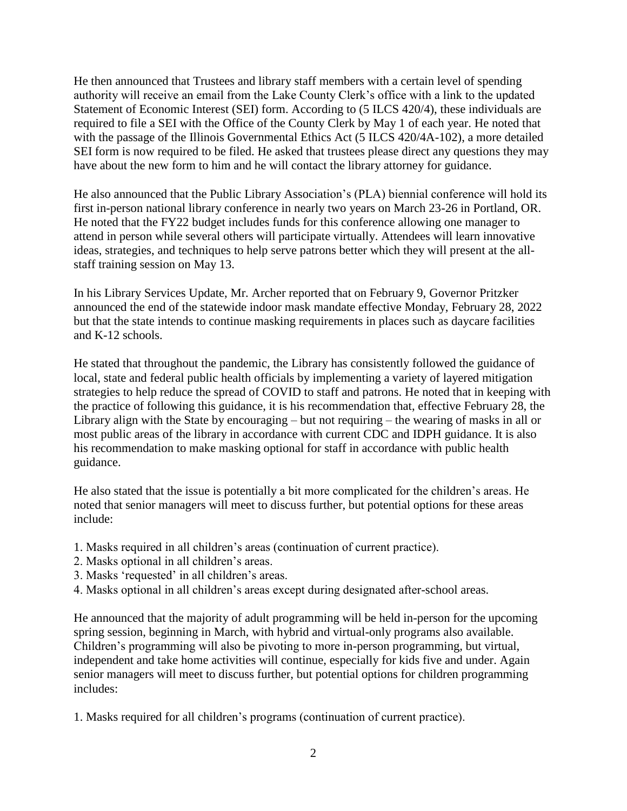He then announced that Trustees and library staff members with a certain level of spending authority will receive an email from the Lake County Clerk's office with a link to the updated Statement of Economic Interest (SEI) form. According to (5 ILCS 420/4), these individuals are required to file a SEI with the Office of the County Clerk by May 1 of each year. He noted that with the passage of the Illinois Governmental Ethics Act (5 ILCS 420/4A-102), a more detailed SEI form is now required to be filed. He asked that trustees please direct any questions they may have about the new form to him and he will contact the library attorney for guidance.

He also announced that the Public Library Association's (PLA) biennial conference will hold its first in-person national library conference in nearly two years on March 23-26 in Portland, OR. He noted that the FY22 budget includes funds for this conference allowing one manager to attend in person while several others will participate virtually. Attendees will learn innovative ideas, strategies, and techniques to help serve patrons better which they will present at the allstaff training session on May 13.

In his Library Services Update, Mr. Archer reported that on February 9, Governor Pritzker announced the end of the statewide indoor mask mandate effective Monday, February 28, 2022 but that the state intends to continue masking requirements in places such as daycare facilities and K-12 schools.

He stated that throughout the pandemic, the Library has consistently followed the guidance of local, state and federal public health officials by implementing a variety of layered mitigation strategies to help reduce the spread of COVID to staff and patrons. He noted that in keeping with the practice of following this guidance, it is his recommendation that, effective February 28, the Library align with the State by encouraging – but not requiring – the wearing of masks in all or most public areas of the library in accordance with current CDC and IDPH guidance. It is also his recommendation to make masking optional for staff in accordance with public health guidance.

He also stated that the issue is potentially a bit more complicated for the children's areas. He noted that senior managers will meet to discuss further, but potential options for these areas include:

- 1. Masks required in all children's areas (continuation of current practice).
- 2. Masks optional in all children's areas.
- 3. Masks 'requested' in all children's areas.
- 4. Masks optional in all children's areas except during designated after-school areas.

He announced that the majority of adult programming will be held in-person for the upcoming spring session, beginning in March, with hybrid and virtual-only programs also available. Children's programming will also be pivoting to more in-person programming, but virtual, independent and take home activities will continue, especially for kids five and under. Again senior managers will meet to discuss further, but potential options for children programming includes:

1. Masks required for all children's programs (continuation of current practice).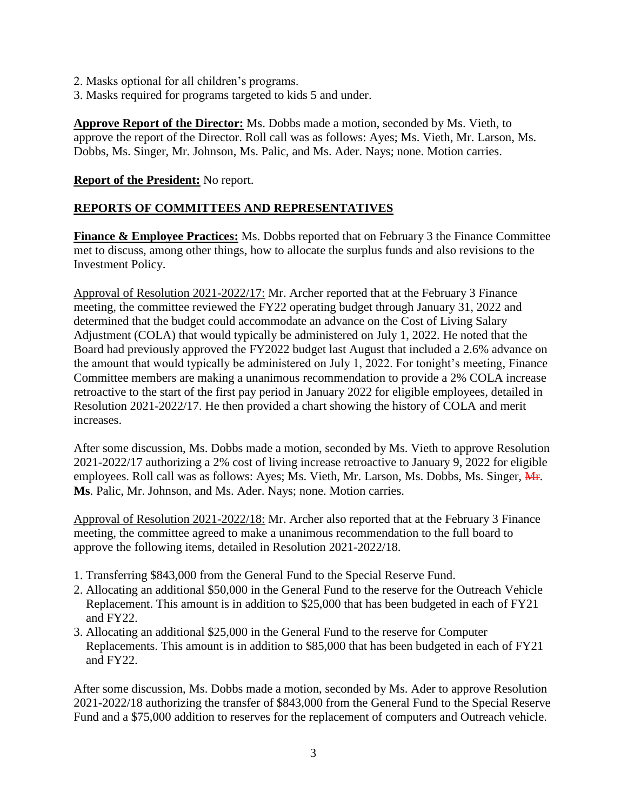- 2. Masks optional for all children's programs.
- 3. Masks required for programs targeted to kids 5 and under.

**Approve Report of the Director:** Ms. Dobbs made a motion, seconded by Ms. Vieth, to approve the report of the Director. Roll call was as follows: Ayes; Ms. Vieth, Mr. Larson, Ms. Dobbs, Ms. Singer, Mr. Johnson, Ms. Palic, and Ms. Ader. Nays; none. Motion carries.

## **Report of the President:** No report.

# **REPORTS OF COMMITTEES AND REPRESENTATIVES**

**Finance & Employee Practices:** Ms. Dobbs reported that on February 3 the Finance Committee met to discuss, among other things, how to allocate the surplus funds and also revisions to the Investment Policy.

Approval of Resolution 2021-2022/17: Mr. Archer reported that at the February 3 Finance meeting, the committee reviewed the FY22 operating budget through January 31, 2022 and determined that the budget could accommodate an advance on the Cost of Living Salary Adjustment (COLA) that would typically be administered on July 1, 2022. He noted that the Board had previously approved the FY2022 budget last August that included a 2.6% advance on the amount that would typically be administered on July 1, 2022. For tonight's meeting, Finance Committee members are making a unanimous recommendation to provide a 2% COLA increase retroactive to the start of the first pay period in January 2022 for eligible employees, detailed in Resolution 2021-2022/17. He then provided a chart showing the history of COLA and merit increases.

After some discussion, Ms. Dobbs made a motion, seconded by Ms. Vieth to approve Resolution 2021-2022/17 authorizing a 2% cost of living increase retroactive to January 9, 2022 for eligible employees. Roll call was as follows: Ayes; Ms. Vieth, Mr. Larson, Ms. Dobbs, Ms. Singer, H. **Ms**. Palic, Mr. Johnson, and Ms. Ader. Nays; none. Motion carries.

Approval of Resolution 2021-2022/18: Mr. Archer also reported that at the February 3 Finance meeting, the committee agreed to make a unanimous recommendation to the full board to approve the following items, detailed in Resolution 2021-2022/18.

- 1. Transferring \$843,000 from the General Fund to the Special Reserve Fund.
- 2. Allocating an additional \$50,000 in the General Fund to the reserve for the Outreach Vehicle Replacement. This amount is in addition to \$25,000 that has been budgeted in each of FY21 and FY22.
- 3. Allocating an additional \$25,000 in the General Fund to the reserve for Computer Replacements. This amount is in addition to \$85,000 that has been budgeted in each of FY21 and FY22.

After some discussion, Ms. Dobbs made a motion, seconded by Ms. Ader to approve Resolution 2021-2022/18 authorizing the transfer of \$843,000 from the General Fund to the Special Reserve Fund and a \$75,000 addition to reserves for the replacement of computers and Outreach vehicle.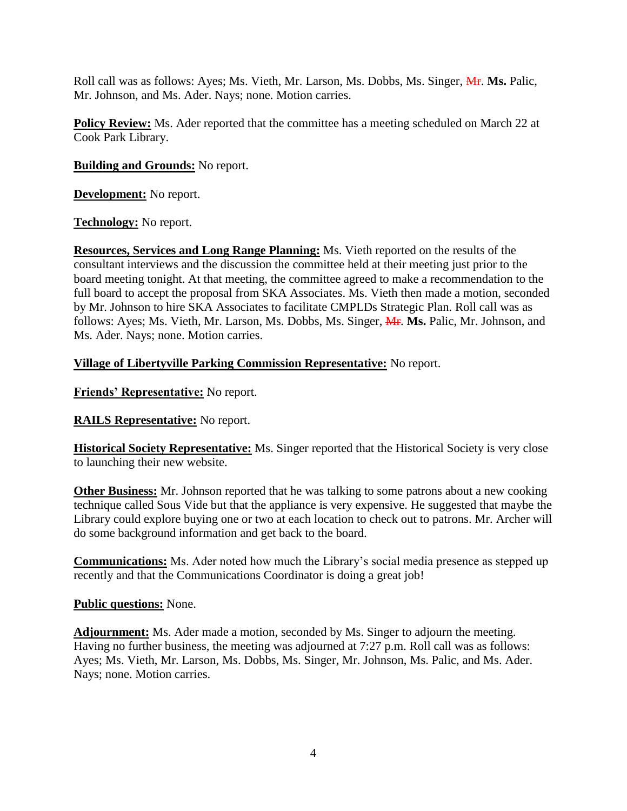Roll call was as follows: Ayes; Ms. Vieth, Mr. Larson, Ms. Dobbs, Ms. Singer, *MF. Ms. Palic*, Mr. Johnson, and Ms. Ader. Nays; none. Motion carries.

**Policy Review:** Ms. Ader reported that the committee has a meeting scheduled on March 22 at Cook Park Library.

# **Building and Grounds:** No report.

**Development:** No report.

**Technology:** No report.

**Resources, Services and Long Range Planning:** Ms. Vieth reported on the results of the consultant interviews and the discussion the committee held at their meeting just prior to the board meeting tonight. At that meeting, the committee agreed to make a recommendation to the full board to accept the proposal from SKA Associates. Ms. Vieth then made a motion, seconded by Mr. Johnson to hire SKA Associates to facilitate CMPLDs Strategic Plan. Roll call was as follows: Ayes; Ms. Vieth, Mr. Larson, Ms. Dobbs, Ms. Singer, Mr. **Ms.** Palic, Mr. Johnson, and Ms. Ader. Nays; none. Motion carries.

**Village of Libertyville Parking Commission Representative:** No report.

**Friends' Representative:** No report.

**RAILS Representative:** No report.

**Historical Society Representative:** Ms. Singer reported that the Historical Society is very close to launching their new website.

**Other Business:** Mr. Johnson reported that he was talking to some patrons about a new cooking technique called Sous Vide but that the appliance is very expensive. He suggested that maybe the Library could explore buying one or two at each location to check out to patrons. Mr. Archer will do some background information and get back to the board.

**Communications:** Ms. Ader noted how much the Library's social media presence as stepped up recently and that the Communications Coordinator is doing a great job!

### **Public questions:** None.

**Adjournment:** Ms. Ader made a motion, seconded by Ms. Singer to adjourn the meeting. Having no further business, the meeting was adjourned at 7:27 p.m. Roll call was as follows: Ayes; Ms. Vieth, Mr. Larson, Ms. Dobbs, Ms. Singer, Mr. Johnson, Ms. Palic, and Ms. Ader. Nays; none. Motion carries.